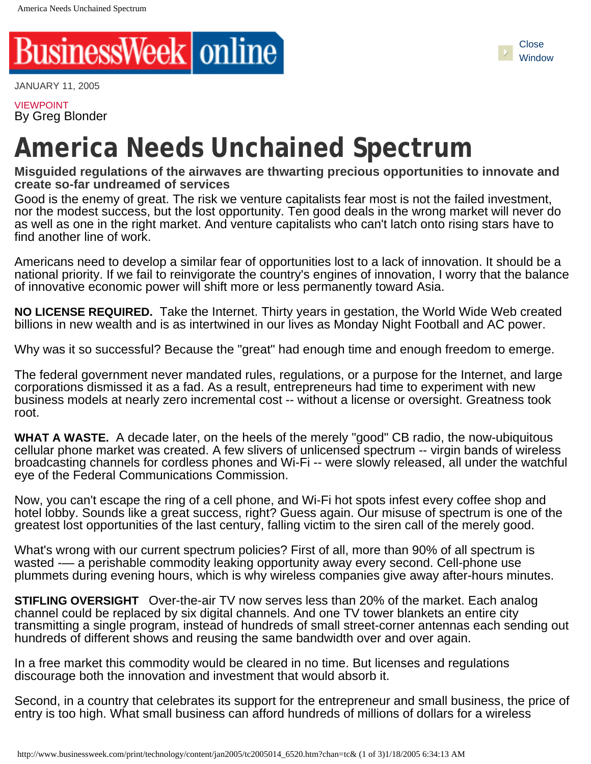



VIEWPOINT By Greg Blonder

## **America Needs Unchained Spectrum**

**Misguided regulations of the airwaves are thwarting precious opportunities to innovate and create so-far undreamed of services**

Good is the enemy of great. The risk we venture capitalists fear most is not the failed investment, nor the modest success, but the lost opportunity. Ten good deals in the wrong market will never do as well as one in the right market. And venture capitalists who can't latch onto rising stars have to find another line of work.

Americans need to develop a similar fear of opportunities lost to a lack of innovation. It should be a national priority. If we fail to reinvigorate the country's engines of innovation, I worry that the balance of innovative economic power will shift more or less permanently toward Asia.

**NO LICENSE REQUIRED.** Take the Internet. Thirty years in gestation, the World Wide Web created billions in new wealth and is as intertwined in our lives as Monday Night Football and AC power.

Why was it so successful? Because the "great" had enough time and enough freedom to emerge.

The federal government never mandated rules, regulations, or a purpose for the Internet, and large corporations dismissed it as a fad. As a result, entrepreneurs had time to experiment with new business models at nearly zero incremental cost -- without a license or oversight. Greatness took root.

**WHAT A WASTE.** A decade later, on the heels of the merely "good" CB radio, the now-ubiquitous cellular phone market was created. A few slivers of unlicensed spectrum -- virgin bands of wireless broadcasting channels for cordless phones and Wi-Fi -- were slowly released, all under the watchful eye of the Federal Communications Commission.

Now, you can't escape the ring of a cell phone, and Wi-Fi hot spots infest every coffee shop and hotel lobby. Sounds like a great success, right? Guess again. Our misuse of spectrum is one of the greatest lost opportunities of the last century, falling victim to the siren call of the merely good.

What's wrong with our current spectrum policies? First of all, more than 90% of all spectrum is wasted -— a perishable commodity leaking opportunity away every second. Cell-phone use plummets during evening hours, which is why wireless companies give away after-hours minutes.

**STIFLING OVERSIGHT** Over-the-air TV now serves less than 20% of the market. Each analog channel could be replaced by six digital channels. And one TV tower blankets an entire city transmitting a single program, instead of hundreds of small street-corner antennas each sending out hundreds of different shows and reusing the same bandwidth over and over again.

In a free market this commodity would be cleared in no time. But licenses and regulations discourage both the innovation and investment that would absorb it.

Second, in a country that celebrates its support for the entrepreneur and small business, the price of entry is too high. What small business can afford hundreds of millions of dollars for a wireless

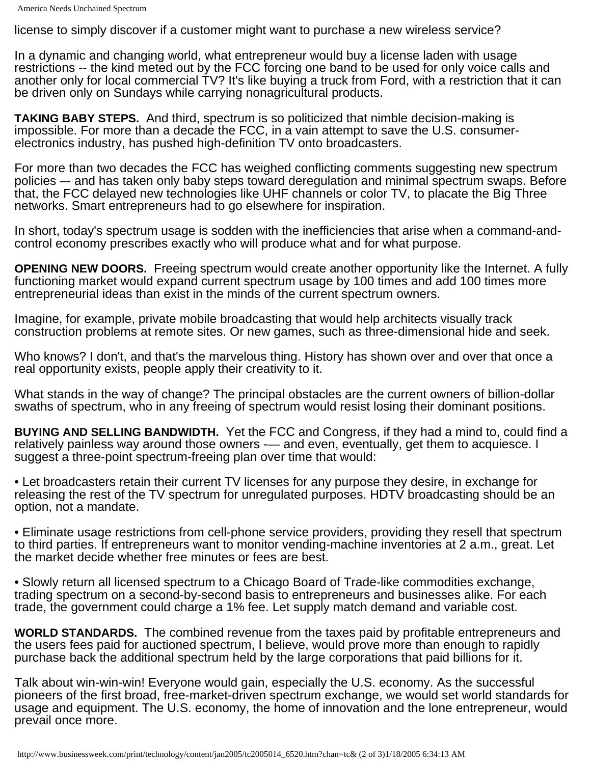license to simply discover if a customer might want to purchase a new wireless service?

In a dynamic and changing world, what entrepreneur would buy a license laden with usage restrictions -- the kind meted out by the FCC forcing one band to be used for only voice calls and another only for local commercial TV? It's like buying a truck from Ford, with a restriction that it can be driven only on Sundays while carrying nonagricultural products.

**TAKING BABY STEPS.** And third, spectrum is so politicized that nimble decision-making is impossible. For more than a decade the FCC, in a vain attempt to save the U.S. consumerelectronics industry, has pushed high-definition TV onto broadcasters.

For more than two decades the FCC has weighed conflicting comments suggesting new spectrum policies –- and has taken only baby steps toward deregulation and minimal spectrum swaps. Before that, the FCC delayed new technologies like UHF channels or color TV, to placate the Big Three networks. Smart entrepreneurs had to go elsewhere for inspiration.

In short, today's spectrum usage is sodden with the inefficiencies that arise when a command-andcontrol economy prescribes exactly who will produce what and for what purpose.

**OPENING NEW DOORS.** Freeing spectrum would create another opportunity like the Internet. A fully functioning market would expand current spectrum usage by 100 times and add 100 times more entrepreneurial ideas than exist in the minds of the current spectrum owners.

Imagine, for example, private mobile broadcasting that would help architects visually track construction problems at remote sites. Or new games, such as three-dimensional hide and seek.

Who knows? I don't, and that's the marvelous thing. History has shown over and over that once a real opportunity exists, people apply their creativity to it.

What stands in the way of change? The principal obstacles are the current owners of billion-dollar swaths of spectrum, who in any freeing of spectrum would resist losing their dominant positions.

**BUYING AND SELLING BANDWIDTH.** Yet the FCC and Congress, if they had a mind to, could find a relatively painless way around those owners  $-$  and even, eventually, get them to acquiesce. I suggest a three-point spectrum-freeing plan over time that would:

• Let broadcasters retain their current TV licenses for any purpose they desire, in exchange for releasing the rest of the TV spectrum for unregulated purposes. HDTV broadcasting should be an option, not a mandate.

• Eliminate usage restrictions from cell-phone service providers, providing they resell that spectrum to third parties. If entrepreneurs want to monitor vending-machine inventories at 2 a.m., great. Let the market decide whether free minutes or fees are best.

• Slowly return all licensed spectrum to a Chicago Board of Trade-like commodities exchange, trading spectrum on a second-by-second basis to entrepreneurs and businesses alike. For each trade, the government could charge a 1% fee. Let supply match demand and variable cost.

**WORLD STANDARDS.** The combined revenue from the taxes paid by profitable entrepreneurs and the users fees paid for auctioned spectrum, I believe, would prove more than enough to rapidly purchase back the additional spectrum held by the large corporations that paid billions for it.

Talk about win-win-win! Everyone would gain, especially the U.S. economy. As the successful pioneers of the first broad, free-market-driven spectrum exchange, we would set world standards for usage and equipment. The U.S. economy, the home of innovation and the lone entrepreneur, would prevail once more.